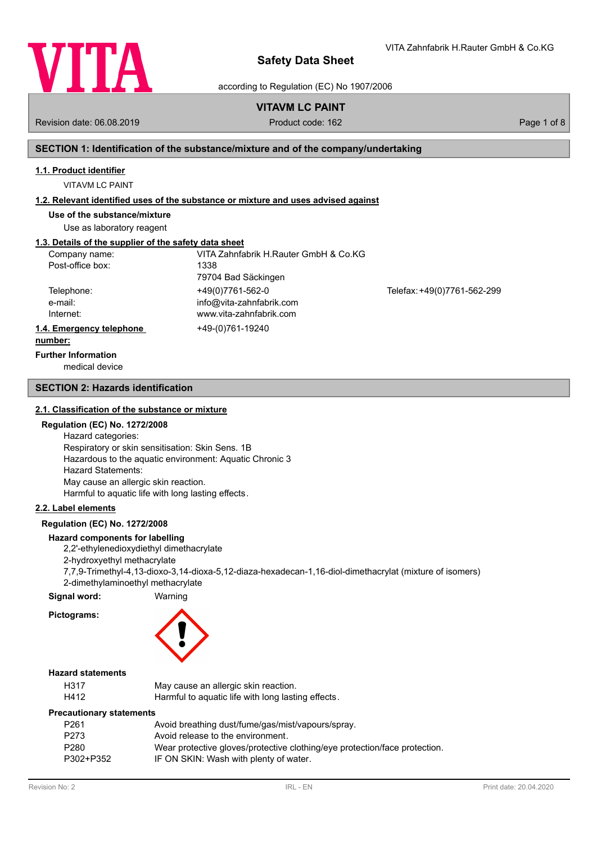

VITA Zahnfabrik H.Rauter GmbH & Co.KG

according to Regulation (EC) No 1907/2006

# **VITAVM LC PAINT**

Revision date: 06.08.2019 **Product code: 162** Product code: 162 **Page 1 of 8** Page 1 of 8

# **SECTION 1: Identification of the substance/mixture and of the company/undertaking**

### **1.1. Product identifier**

VITAVM LC PAINT

### **1.2. Relevant identified uses of the substance or mixture and uses advised against**

**Use of the substance/mixture**

Use as laboratory reagent

# **1.3. Details of the supplier of the safety data sheet**

| Company name:            | VITA Zahnfabrik H.Rauter GmbH & Co.KG |                             |
|--------------------------|---------------------------------------|-----------------------------|
| Post-office box:         | 1338                                  |                             |
|                          | 79704 Bad Säckingen                   |                             |
| Telephone:               | +49(0)7761-562-0                      | Telefax: +49(0)7761-562-299 |
| e-mail:                  | info@vita-zahnfabrik.com              |                             |
| Internet:                | www.vita-zahnfabrik.com               |                             |
| 1.4. Emergency telephone | +49-(0)761-19240                      |                             |
| numbori                  |                                       |                             |

#### **number:**

**Further Information**

medical device

### **SECTION 2: Hazards identification**

### **2.1. Classification of the substance or mixture**

### **Regulation (EC) No. 1272/2008**

Hazard categories: Respiratory or skin sensitisation: Skin Sens. 1B Hazardous to the aquatic environment: Aquatic Chronic 3 Hazard Statements: May cause an allergic skin reaction. Harmful to aquatic life with long lasting effects.

### **2.2. Label elements**

## **Regulation (EC) No. 1272/2008**

### **Hazard components for labelling**

2,2'-ethylenedioxydiethyl dimethacrylate

2-hydroxyethyl methacrylate

7,7,9-Trimethyl-4,13-dioxo-3,14-dioxa-5,12-diaza-hexadecan-1,16-diol-dimethacrylat (mixture of isomers) 2-dimethylaminoethyl methacrylate

### **Signal word:** Warning

**Pictograms:**

### **Hazard statements**

| H317 | May cause an allergic skin reaction.               |
|------|----------------------------------------------------|
| H412 | Harmful to aquatic life with long lasting effects. |

### **Precautionary statements**

| P <sub>261</sub> | Avoid breathing dust/fume/gas/mist/vapours/spray.                          |
|------------------|----------------------------------------------------------------------------|
| P <sub>273</sub> | Avoid release to the environment.                                          |
| P <sub>280</sub> | Wear protective gloves/protective clothing/eye protection/face protection. |
| P302+P352        | IF ON SKIN: Wash with plenty of water.                                     |
|                  |                                                                            |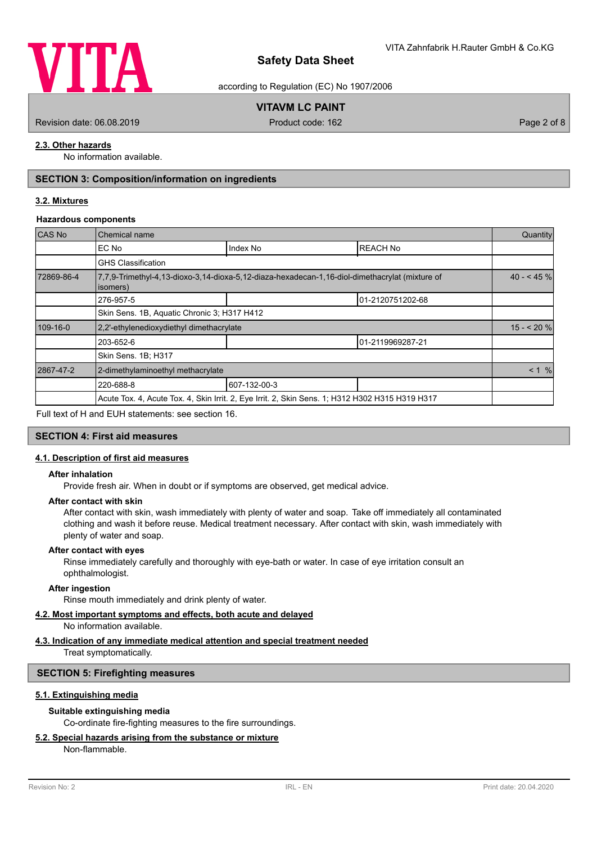

according to Regulation (EC) No 1907/2006

# **VITAVM LC PAINT**

Revision date: 06.08.2019 **Product code: 162** Product code: 162 **Page 2 of 8** Page 2 of 8

# **2.3. Other hazards**

No information available.

# **SECTION 3: Composition/information on ingredients**

### **3.2. Mixtures**

### **Hazardous components**

| CAS No     | Chemical name                               |                                                                                                 |                  |            |  |
|------------|---------------------------------------------|-------------------------------------------------------------------------------------------------|------------------|------------|--|
|            | EC No                                       | Index No                                                                                        | <b>REACH No</b>  |            |  |
|            | <b>GHS Classification</b>                   |                                                                                                 |                  |            |  |
| 72869-86-4 | isomers)                                    | 7,7,9-Trimethyl-4,13-dioxo-3,14-dioxa-5,12-diaza-hexadecan-1,16-diol-dimethacrylat (mixture of  |                  | $40 - 45%$ |  |
|            | 276-957-5                                   |                                                                                                 | 01-2120751202-68 |            |  |
|            | Skin Sens. 1B, Aquatic Chronic 3; H317 H412 |                                                                                                 |                  |            |  |
| 109-16-0   | 2.2'-ethylenedioxydiethyl dimethacrylate    |                                                                                                 |                  | $15 - 20%$ |  |
|            | 01-2119969287-21<br>203-652-6               |                                                                                                 |                  |            |  |
|            | Skin Sens. 1B; H317                         |                                                                                                 |                  |            |  |
| 2867-47-2  | 2-dimethylaminoethyl methacrylate           |                                                                                                 |                  | < 1 %      |  |
|            | 220-688-8                                   | 607-132-00-3                                                                                    |                  |            |  |
|            |                                             | Acute Tox. 4, Acute Tox. 4, Skin Irrit. 2, Eye Irrit. 2, Skin Sens. 1; H312 H302 H315 H319 H317 |                  |            |  |
|            |                                             |                                                                                                 |                  |            |  |

Full text of H and EUH statements: see section 16.

### **SECTION 4: First aid measures**

### **4.1. Description of first aid measures**

### **After inhalation**

Provide fresh air. When in doubt or if symptoms are observed, get medical advice.

### **After contact with skin**

After contact with skin, wash immediately with plenty of water and soap. Take off immediately all contaminated clothing and wash it before reuse. Medical treatment necessary. After contact with skin, wash immediately with plenty of water and soap.

#### **After contact with eyes**

Rinse immediately carefully and thoroughly with eye-bath or water. In case of eye irritation consult an ophthalmologist.

### **After ingestion**

Rinse mouth immediately and drink plenty of water.

# **4.2. Most important symptoms and effects, both acute and delayed**

No information available.

# **4.3. Indication of any immediate medical attention and special treatment needed**

Treat symptomatically.

### **SECTION 5: Firefighting measures**

### **5.1. Extinguishing media**

### **Suitable extinguishing media**

Co-ordinate fire-fighting measures to the fire surroundings.

## **5.2. Special hazards arising from the substance or mixture**

Non-flammable.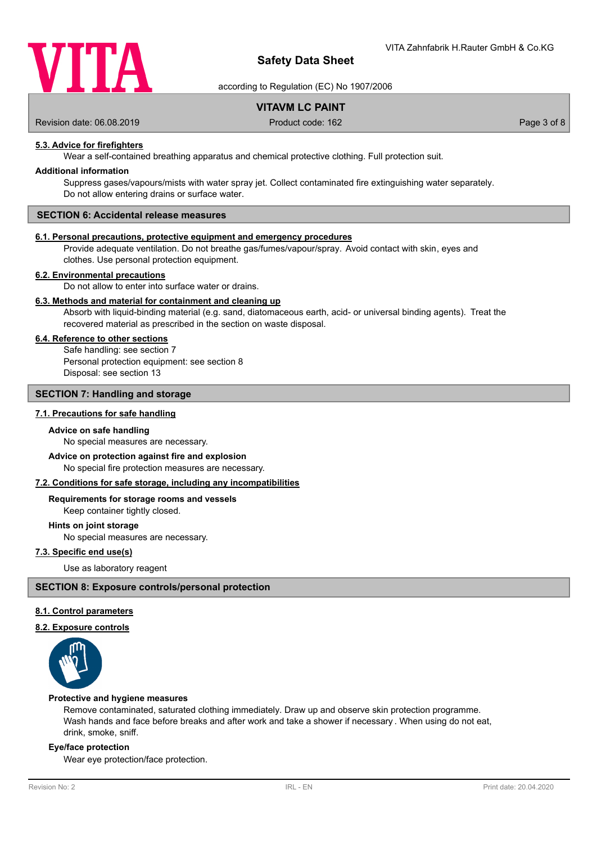

according to Regulation (EC) No 1907/2006

# **VITAVM LC PAINT**

Revision date: 06.08.2019 **Product code: 162** Product code: 162 **Page 3 of 8** Page 3 of 8

# **5.3. Advice for firefighters**

Wear a self-contained breathing apparatus and chemical protective clothing. Full protection suit.

### **Additional information**

Suppress gases/vapours/mists with water spray jet. Collect contaminated fire extinguishing water separately. Do not allow entering drains or surface water.

# **SECTION 6: Accidental release measures**

### **6.1. Personal precautions, protective equipment and emergency procedures**

Provide adequate ventilation. Do not breathe gas/fumes/vapour/spray. Avoid contact with skin, eyes and clothes. Use personal protection equipment.

#### **6.2. Environmental precautions**

Do not allow to enter into surface water or drains.

### **6.3. Methods and material for containment and cleaning up**

Absorb with liquid-binding material (e.g. sand, diatomaceous earth, acid- or universal binding agents). Treat the recovered material as prescribed in the section on waste disposal.

### **6.4. Reference to other sections**

Safe handling: see section 7 Personal protection equipment: see section 8 Disposal: see section 13

# **SECTION 7: Handling and storage**

### **7.1. Precautions for safe handling**

### **Advice on safe handling**

No special measures are necessary.

# **Advice on protection against fire and explosion**

No special fire protection measures are necessary.

### **7.2. Conditions for safe storage, including any incompatibilities**

#### **Requirements for storage rooms and vessels**

Keep container tightly closed.

**Hints on joint storage**

No special measures are necessary.

# **7.3. Specific end use(s)**

Use as laboratory reagent

### **SECTION 8: Exposure controls/personal protection**

### **8.1. Control parameters**

### **8.2. Exposure controls**



#### **Protective and hygiene measures**

Remove contaminated, saturated clothing immediately. Draw up and observe skin protection programme. Wash hands and face before breaks and after work and take a shower if necessary . When using do not eat, drink, smoke, sniff.

### **Eye/face protection**

Wear eye protection/face protection.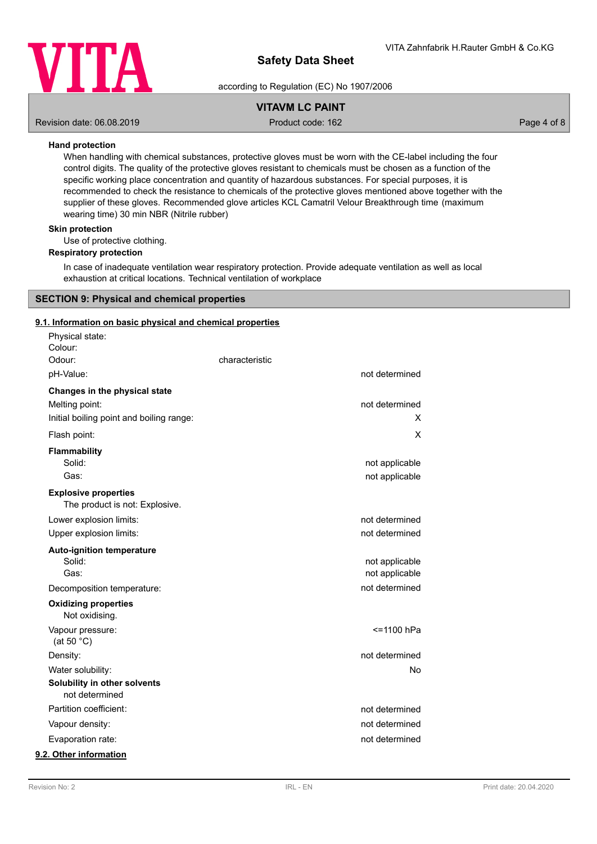

according to Regulation (EC) No 1907/2006

# **VITAVM LC PAINT**

Revision date: 06.08.2019 **Product code: 162** Product code: 162 **Page 4 of 8** Page 4 of 8

### **Hand protection**

When handling with chemical substances, protective gloves must be worn with the CE-label including the four control digits. The quality of the protective gloves resistant to chemicals must be chosen as a function of the specific working place concentration and quantity of hazardous substances. For special purposes, it is recommended to check the resistance to chemicals of the protective gloves mentioned above together with the supplier of these gloves. Recommended glove articles KCL Camatril Velour Breakthrough time (maximum wearing time) 30 min NBR (Nitrile rubber)

# **Skin protection**

Use of protective clothing.

### **Respiratory protection**

In case of inadequate ventilation wear respiratory protection. Provide adequate ventilation as well as local exhaustion at critical locations. Technical ventilation of workplace

# **SECTION 9: Physical and chemical properties**

### **9.1. Information on basic physical and chemical properties**

| Physical state:<br>Colour:                                    |                |                |
|---------------------------------------------------------------|----------------|----------------|
| Odour:                                                        | characteristic |                |
| pH-Value:                                                     |                | not determined |
| Changes in the physical state                                 |                |                |
| Melting point:                                                |                | not determined |
| Initial boiling point and boiling range:                      |                | х              |
| Flash point:                                                  |                | Χ              |
| <b>Flammability</b>                                           |                |                |
| Solid:                                                        |                | not applicable |
| Gas:                                                          |                | not applicable |
| <b>Explosive properties</b><br>The product is not: Explosive. |                |                |
| Lower explosion limits:                                       |                | not determined |
| Upper explosion limits:                                       |                | not determined |
| <b>Auto-ignition temperature</b>                              |                |                |
| Solid:                                                        |                | not applicable |
| Gas:                                                          |                | not applicable |
| Decomposition temperature:                                    |                | not determined |
| <b>Oxidizing properties</b><br>Not oxidising.                 |                |                |
| Vapour pressure:<br>(at 50 $°C$ )                             |                | <=1100 hPa     |
| Density:                                                      |                | not determined |
| Water solubility:                                             |                | No             |
| Solubility in other solvents<br>not determined                |                |                |
| Partition coefficient:                                        |                | not determined |
| Vapour density:                                               |                | not determined |
| Evaporation rate:                                             |                | not determined |
| 9.2. Other information                                        |                |                |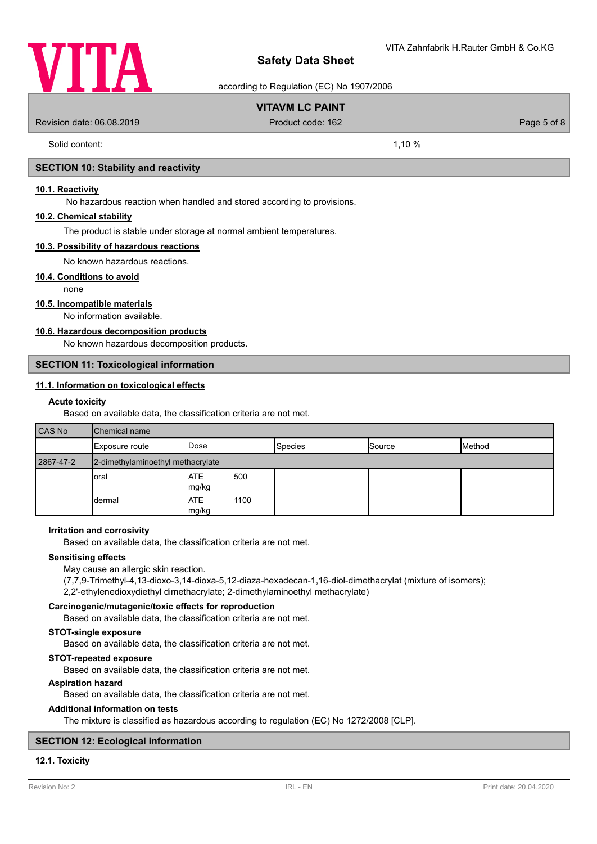

according to Regulation (EC) No 1907/2006

# **VITAVM LC PAINT**

Revision date: 06.08.2019 **Product code: 162** Product code: 162 **Page 5 of 8** Page 5 of 8

Solid content: 1,10 %

### **SECTION 10: Stability and reactivity**

### **10.1. Reactivity**

No hazardous reaction when handled and stored according to provisions.

### **10.2. Chemical stability**

The product is stable under storage at normal ambient temperatures.

### **10.3. Possibility of hazardous reactions**

No known hazardous reactions.

### **10.4. Conditions to avoid**

none

### **10.5. Incompatible materials**

No information available.

## **10.6. Hazardous decomposition products**

No known hazardous decomposition products.

### **SECTION 11: Toxicological information**

# **11.1. Information on toxicological effects**

### **Acute toxicity**

Based on available data, the classification criteria are not met.

| <b>CAS No</b> | <b>Chemical name</b>              |                       |                |               |        |
|---------------|-----------------------------------|-----------------------|----------------|---------------|--------|
|               | Exposure route                    | <b>IDose</b>          | <b>Species</b> | <b>Source</b> | Method |
| 2867-47-2     | 2-dimethylaminoethyl methacrylate |                       |                |               |        |
|               | oral                              | IATE<br>500<br>mg/kg  |                |               |        |
|               | dermal                            | IATE<br>1100<br>mg/kg |                |               |        |

### **Irritation and corrosivity**

Based on available data, the classification criteria are not met.

### **Sensitising effects**

May cause an allergic skin reaction.

(7,7,9-Trimethyl-4,13-dioxo-3,14-dioxa-5,12-diaza-hexadecan-1,16-diol-dimethacrylat (mixture of isomers);

2,2'-ethylenedioxydiethyl dimethacrylate; 2-dimethylaminoethyl methacrylate)

### **Carcinogenic/mutagenic/toxic effects for reproduction**

Based on available data, the classification criteria are not met.

### **STOT-single exposure**

Based on available data, the classification criteria are not met.

#### **STOT-repeated exposure**

Based on available data, the classification criteria are not met.

### **Aspiration hazard**

Based on available data, the classification criteria are not met.

### **Additional information on tests**

The mixture is classified as hazardous according to regulation (EC) No 1272/2008 [CLP].

## **SECTION 12: Ecological information**

# **12.1. Toxicity**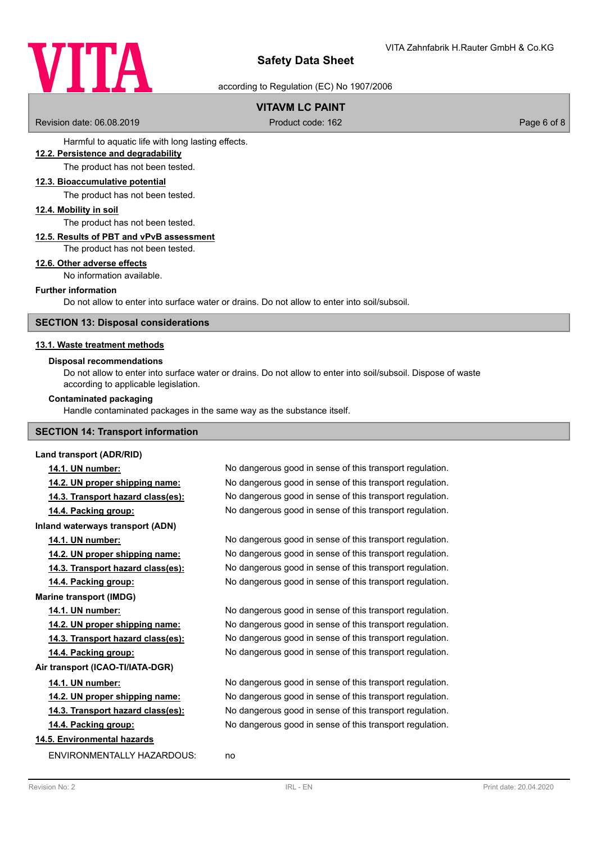

according to Regulation (EC) No 1907/2006

# **VITAVM LC PAINT**

Revision date: 06.08.2019 **Product code: 162** Product code: 162 **Page 6 of 8** Page 6 of 8

Harmful to aquatic life with long lasting effects.

### **12.2. Persistence and degradability**

The product has not been tested.

### **12.3. Bioaccumulative potential**

The product has not been tested.

### **12.4. Mobility in soil**

The product has not been tested.

### **12.5. Results of PBT and vPvB assessment**

The product has not been tested.

### **12.6. Other adverse effects**

No information available.

### **Further information**

Do not allow to enter into surface water or drains. Do not allow to enter into soil/subsoil.

### **SECTION 13: Disposal considerations**

### **13.1. Waste treatment methods**

### **Disposal recommendations**

Do not allow to enter into surface water or drains. Do not allow to enter into soil/subsoil. Dispose of waste according to applicable legislation.

### **Contaminated packaging**

Handle contaminated packages in the same way as the substance itself.

## **SECTION 14: Transport information**

### **Land transport (ADR/RID)**

**Inland waterways transport (ADN)**

**Marine transport (IMDG)**

**Air transport (ICAO-TI/IATA-DGR)**

# **14.5. Environmental hazards**

ENVIRONMENTALLY HAZARDOUS: no

**14.1. UN number:** No dangerous good in sense of this transport regulation. **14.2. UN proper shipping name:** No dangerous good in sense of this transport regulation. **14.3. Transport hazard class(es):** No dangerous good in sense of this transport regulation. **14.4. Packing group:** No dangerous good in sense of this transport regulation.

**14.1. UN number:** No dangerous good in sense of this transport regulation. **14.2. UN proper shipping name:** No dangerous good in sense of this transport regulation. **14.3. Transport hazard class(es):** No dangerous good in sense of this transport regulation. **14.4. Packing group:** No dangerous good in sense of this transport regulation.

**14.1. UN number:** No dangerous good in sense of this transport regulation. **14.2. UN proper shipping name:** No dangerous good in sense of this transport regulation. **14.3. Transport hazard class(es):** No dangerous good in sense of this transport regulation. **14.4. Packing group:** No dangerous good in sense of this transport regulation.

**14.1. UN number:** No dangerous good in sense of this transport regulation. **14.2. UN proper shipping name:** No dangerous good in sense of this transport regulation. **14.3. Transport hazard class(es):** No dangerous good in sense of this transport regulation. **14.4. Packing group:** No dangerous good in sense of this transport regulation.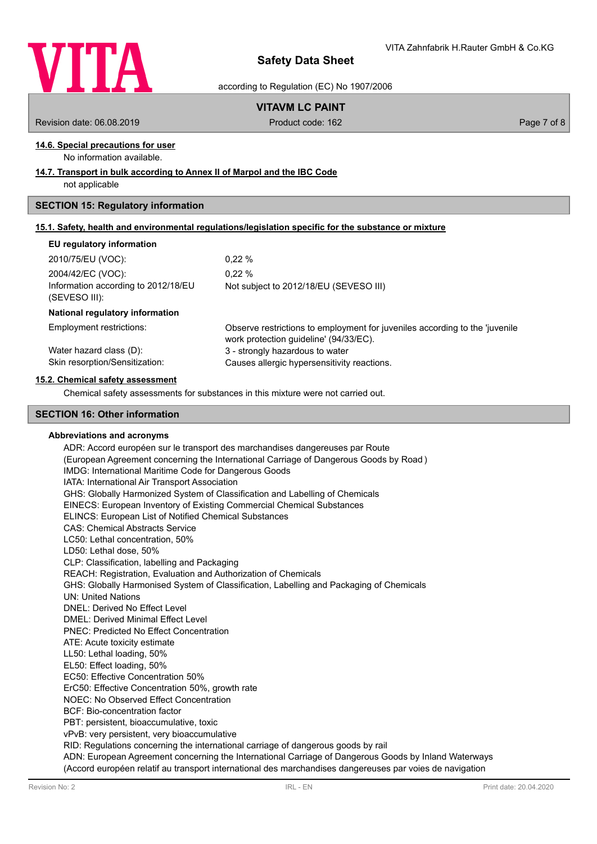

according to Regulation (EC) No 1907/2006

# **VITAVM LC PAINT**

Revision date: 06.08.2019 **Product code: 162** Product code: 162 **Page 7 of 8** Page 7 of 8

# **14.6. Special precautions for user**

No information available.

### **14.7. Transport in bulk according to Annex II of Marpol and the IBC Code**

not applicable

# **SECTION 15: Regulatory information**

|  | 15.1. Safety, health and environmental requlations/legislation specific for the substance or mixture |  |  |  |  |
|--|------------------------------------------------------------------------------------------------------|--|--|--|--|
|  |                                                                                                      |  |  |  |  |

### **EU regulatory information**

| 2010/75/EU (VOC):                   | $0.22 \%$                              |
|-------------------------------------|----------------------------------------|
| 2004/42/EC (VOC):                   | $0.22 \%$                              |
| Information according to 2012/18/EU | Not subject to 2012/18/EU (SEVESO III) |
| (SEVESO III):                       |                                        |

### **National regulatory information**

Employment restrictions:

Observe restrictions to employment for juveniles according to the 'juvenile work protection guideline' (94/33/EC). Water hazard class (D): 3 - strongly hazardous to water Skin resorption/Sensitization: Causes allergic hypersensitivity reactions.

### **15.2. Chemical safety assessment**

Chemical safety assessments for substances in this mixture were not carried out.

### **SECTION 16: Other information**

### **Abbreviations and acronyms**

ADR: Accord européen sur le transport des marchandises dangereuses par Route (European Agreement concerning the International Carriage of Dangerous Goods by Road ) IMDG: International Maritime Code for Dangerous Goods IATA: International Air Transport Association GHS: Globally Harmonized System of Classification and Labelling of Chemicals EINECS: European Inventory of Existing Commercial Chemical Substances ELINCS: European List of Notified Chemical Substances CAS: Chemical Abstracts Service LC50: Lethal concentration, 50% LD50: Lethal dose, 50% CLP: Classification, labelling and Packaging REACH: Registration, Evaluation and Authorization of Chemicals GHS: Globally Harmonised System of Classification, Labelling and Packaging of Chemicals UN: United Nations DNEL: Derived No Effect Level DMEL: Derived Minimal Effect Level PNEC: Predicted No Effect Concentration ATE: Acute toxicity estimate LL50: Lethal loading, 50% EL50: Effect loading, 50% EC50: Effective Concentration 50% ErC50: Effective Concentration 50%, growth rate NOEC: No Observed Effect Concentration BCF: Bio-concentration factor PBT: persistent, bioaccumulative, toxic vPvB: very persistent, very bioaccumulative RID: Regulations concerning the international carriage of dangerous goods by rail ADN: European Agreement concerning the International Carriage of Dangerous Goods by Inland Waterways

(Accord européen relatif au transport international des marchandises dangereuses par voies de navigation